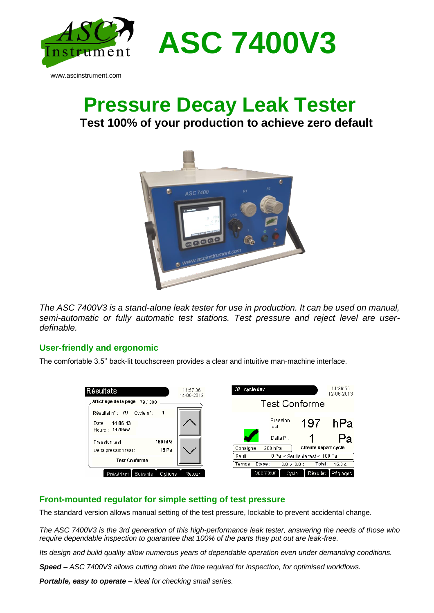

## **Pressure Decay Leak Tester Test 100% of your production to achieve zero default**



*The ASC 7400V3 is a stand-alone leak tester for use in production. It can be used on manual, semi-automatic or fully automatic test stations. Test pressure and reject level are userdefinable.* 

## **User-friendly and ergonomic**

The comfortable 3.5'' back-lit touchscreen provides a clear and intuitive man-machine interface.



## **Front-mounted regulator for simple setting of test pressure**

The standard version allows manual setting of the test pressure, lockable to prevent accidental change.

*The ASC 7400V3 is the 3rd generation of this high-performance leak tester, answering the needs of those who require dependable inspection to guarantee that 100% of the parts they put out are leak-free.*

*Its design and build quality allow numerous years of dependable operation even under demanding conditions.*

*Speed – ASC 7400V3 allows cutting down the time required for inspection, for optimised workflows.*

*Portable, easy to operate – ideal for checking small series.*